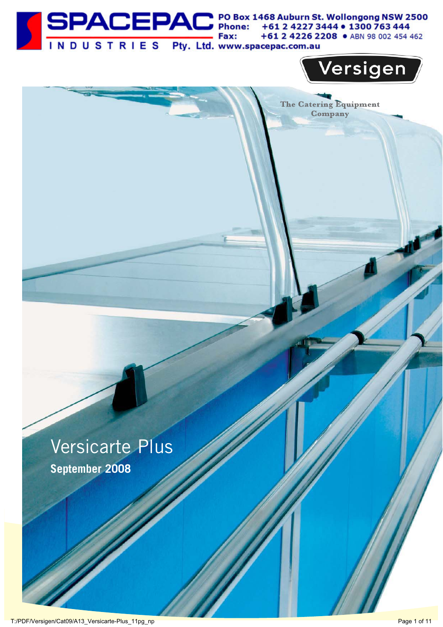



The Catering Equipment Company

## Versicarte Plus **September 2008**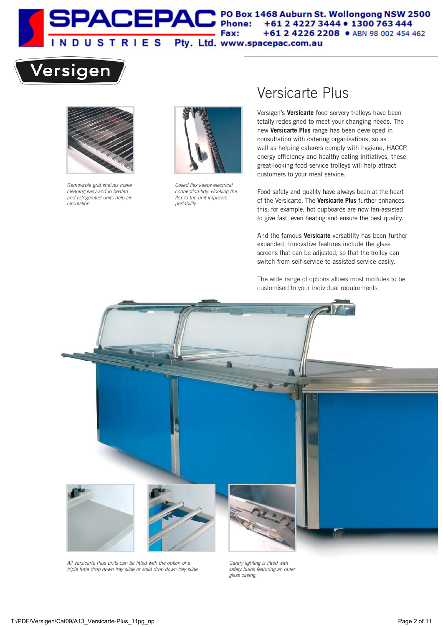

## Versigen



Removable grid shelves make cleaning easy and in heated and refrigerated units help air circulation.



Coiled flex keeps electrical connection tidy. Hooking the flex to the unit improves portability.

### Versicarte Plus

totally redesigned to meet your changing needs. The new **Versicarte Plus** range has been developed in well as helping caterers comply with hygiene, HACCP, energy efficiency and healthy eating initiatives, these great-looking food service trolleys will help attract Versigen's **Versicarte** food servery trolleys have been consultation with catering organisations, so as customers to your meal service.

Food safety and quality have always been at the heart of the Versicarte. The **Versicarte Plus** further enhances this; for example, hot cupboards are now fan-assisted to give fast, even heating and ensure the best quality.

And the famous **Versicarte** versatility has been further expanded. Innovative features include the glass screens that can be adjusted, so that the trolley can switch from self-service to assisted service easily.

The wide range of options allows most modules to be customised to your individual requirements.



All Versicarte Plus units can be fitted with the option of a triple tube drop down tray slide or solid drop down tray slide

Gantry lighting is fitted with safety bulbs featuring an outer glass casing.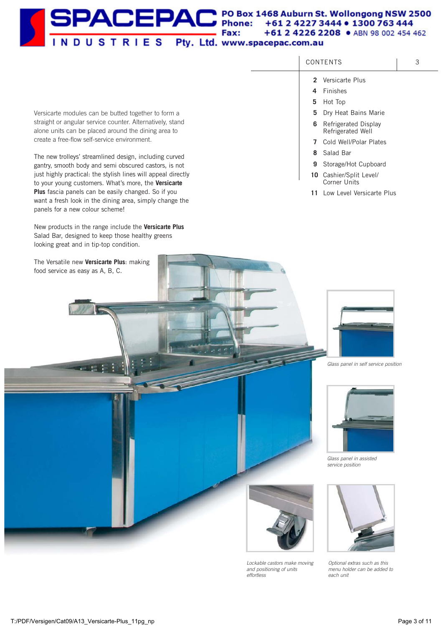#### SPACEPAC<sup>PO Box 1468</sup> Auburn St. Wollongong NSW 2500 Fax: +61 2 4226 2208 · ABN 98 002 454 462 INDUSTRIES Pty. Ltd. www.spacepac.com.au

| Versicarte modules can be butted together to form a                                                                                                  |   | 5 Dry Heat Bains Marie                      |
|------------------------------------------------------------------------------------------------------------------------------------------------------|---|---------------------------------------------|
| straight or angular service counter. Alternatively, stand<br>alone units can be placed around the dining area to                                     | 6 | Refrigerated Display<br>Refrigerated Well   |
| create a free-flow self-service environment.                                                                                                         | 7 | Cold Well/Polar Plates                      |
| The new trolleys' streamlined design, including curved                                                                                               | 8 | Salad Bar                                   |
| gantry, smooth body and semi obscured castors, is not                                                                                                | 9 | Storage/Hot Cupboard                        |
| just highly practical: the stylish lines will appeal directly<br>to your young customers. What's more, the Versicarte                                |   | 10 Cashier/Split Level/<br>Corner Units     |
| Plus fascia panels can be easily changed. So if you<br>want a fresh look in the dining area, simply change the<br>panels for a new colour scheme!    |   | 11 Low Level Versicarte Plus                |
| New products in the range include the Versicarte Plus<br>Salad Bar, designed to keep those healthy greens<br>looking great and in tip-top condition. |   |                                             |
| The Versatile new Versicarte Plus: making<br>food service as easy as A, B, C.                                                                        |   | Glass panel in self service position        |
|                                                                                                                                                      |   | Glass panel in assisted<br>service position |
|                                                                                                                                                      |   |                                             |

Lockable castors make moving and positioning of units effortless

Optional extras such as this menu holder can be added to each unit

CONTENTS | 3

**2** Versicarte Plus **4** Finishes **5** Hot Top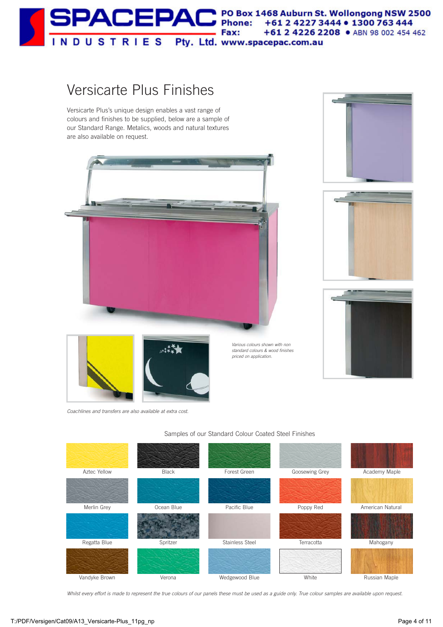

### Versicarte Plus Finishes

Versicarte Plus's unique design enables a vast range of colours and finishes to be supplied, below are a sample of our Standard Range. Metalics, woods and natural textures are also available on request.











Coachlines and transfers are also available at extra cost.



#### Samples of our Standard Colour Coated Steel Finishes

Various colours shown with non standard colours & wood finishes priced on application.

Whilst every effort is made to represent the true colours of our panels these must be used as a guide only. True colour samples are available upon request.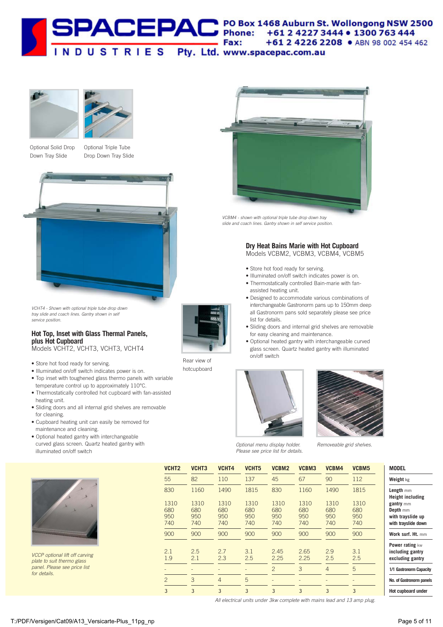





Optional Solid Drop Down Tray Slide

Optional Triple Tube Drop Down Tray Slide



VCHT4 - Shown with optional triple tube drop down tray slide and coach lines. Gantry shown in self service position.

#### **Hot Top, Inset with Glass Thermal Panels, plus Hot Cupboard**

Models VCHT2, VCHT3, VCHT3, VCHT4

- Store hot food ready for serving.
- Illuminated on/off switch indicates power is on.
- Top inset with toughened glass thermo panels with variable temperature control up to approximately 110°C.
- Thermostatically controlled hot cupboard with fan-assisted heating unit.
- Sliding doors and all internal grid shelves are removable for cleaning.
- Cupboard heating unit can easily be removed for maintenance and cleaning.
- Optional heated gantry with interchangeable curved glass screen. Quartz heated gantry with illuminated on/off switch



VCCP optional lift off carving plate to suit thermo glass panel. Please see price list for details.



VCBM4 - shown with optional triple tube drop down tray slide and coach lines. Gantry shown in self service position.

#### **Dry Heat Bains Marie with Hot Cupboard** Models VCBM2, VCBM3, VCBM4, VCBM5

- Store hot food ready for serving.
- Illuminated on/off switch indicates power is on.
- Thermostatically controlled Bain-marie with fanassisted heating unit.
- Designed to accommodate various combinations of interchangeable Gastronorm pans up to 150mm deep all Gastronorm pans sold separately please see price list for details.
- Sliding doors and internal grid shelves are removable for easy cleaning and maintenance.
- Optional heated gantry with interchangeable curved glass screen. Quartz heated gantry with illuminated on/off switch



Optional menu display holder. Removeable grid shelves. Please see price list for details.

| VCHT2                     | VCHT3                     | VCHT4                     | VCHT <sub>5</sub>         | VCBM2                     | VCBM3                     | VCBM4                     | VCBM5                     | <b>MODEL</b>                                                      |
|---------------------------|---------------------------|---------------------------|---------------------------|---------------------------|---------------------------|---------------------------|---------------------------|-------------------------------------------------------------------|
| 55                        | 82                        | 110                       | 137                       | 45                        | 67                        | 90                        | 112                       | Weight kg                                                         |
| 830                       | 1160                      | 1490                      | 1815                      | 830                       | 1160                      | 1490                      | 1815                      | Length mm<br><b>Height including</b>                              |
| 1310<br>680<br>950<br>740 | 1310<br>680<br>950<br>740 | 1310<br>680<br>950<br>740 | 1310<br>680<br>950<br>740 | 1310<br>680<br>950<br>740 | 1310<br>680<br>950<br>740 | 1310<br>680<br>950<br>740 | 1310<br>680<br>950<br>740 | gantry mm<br>Depth mm<br>with trayslide up<br>with trayslide down |
| 900                       | 900                       | 900                       | 900                       | 900                       | 900                       | 900                       | 900                       | Work surf. Ht. mm                                                 |
| 2.1<br>1.9                | 2.5<br>2.1                | 2.7<br>2.3                | 3.1<br>2.5                | 2.45<br>2.25              | 2.65<br>2.25              | 2.9<br>2.5                | 3.1<br>2.5                | Power rating kw<br>including gantry<br>excluding gantry           |
|                           |                           |                           |                           | $\overline{2}$            | 3                         | $\overline{4}$            | 5                         | 1/1 Gastronorm Capac                                              |
| $\overline{2}$            | 3                         | $\overline{4}$            | 5                         |                           |                           |                           |                           | No. of Gastronorm pan                                             |
| 3                         | 3                         | 3                         | 3                         | 3                         | 3                         | 3                         | 3                         | Hot cupboard under                                                |
|                           |                           |                           |                           |                           |                           |                           |                           |                                                                   |

All electrical units under 3kw complete with mains lead and 13 amp plug.

Rear view of hotcupboard

**19** pacity panels **der**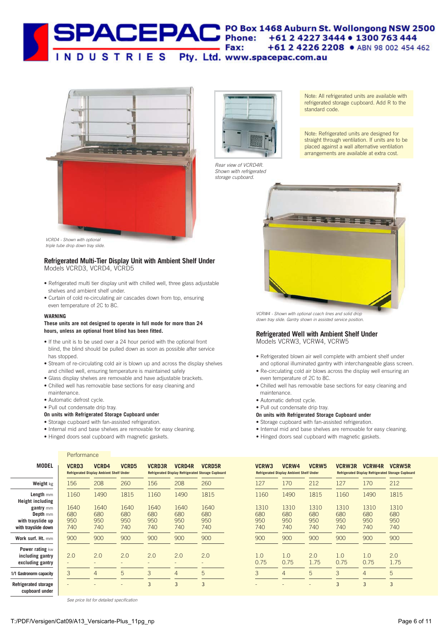#### **SPACEPAC** PO Box 1468 Auburn St. Wollongong NSW 2500 Fax: +61 2 4226 2208 · ABN 98 002 454 462 INDUSTRIES Pty. Ltd. www.spacepac.com.au



VCRD4 - Shown with optional triple tube drop down tray slide.

#### **Refrigerated Multi-Tier Display Unit with Ambient Shelf Under** Models VCRD3, VCRD4, VCRD5

- Refrigerated multi tier display unit with chilled well, three glass adjustable shelves and ambient shelf under.
- Curtain of cold re-circulating air cascades down from top, ensuring even temperature of 2C to 8C.

#### **WARNING**

#### **These units are not designed to operate in full mode for more than 24 hours, unless an optional front blind has been fitted.**

- If the unit is to be used over a 24 hour period with the optional front blind, the blind should be pulled down as soon as possible after service has stopped.
- Stream of re-circulating cold air is blown up and across the display shelves and chilled well, ensuring temperature is maintained safely
- Glass display shelves are removable and have adjustable brackets.
- Chilled well has removable base sections for easy cleaning and
- maintenance.
- Automatic defrost cycle.
- Pull out condensate drip tray.
- **On units with Refrigerated Storage Cupboard under**
- Storage cupboard with fan-assisted refrigeration.
- Internal mid and base shelves are removable for easy cleaning.

**VCRD5**

**VCRD3R VCRD4R**

**Refrigerated Display Refrigerated Storage Cupboard Refrigerated Display Refrigerated Storage Cupboard** 

**VCRD5R**

2.0 - 5 3

2.0 - 4 3

2.0 - 3 3

2.0 - 5 -

• Hinged doors seal cupboard with magnetic gaskets.

#### **Performance**

|                                                                       | 26C        |
|-----------------------------------------------------------------------|------------|
| 156<br>208<br>Weight kg                                               |            |
| 1490<br>1160<br>Length mm<br><b>Height including</b>                  | 181        |
| 1640<br>1640<br>gantry mm<br>680<br>680<br>Depth mm                   | 164<br>68C |
| 950<br>950<br>with trayslide up<br>740<br>740<br>with trayslide down  | 95C<br>74C |
| Work surf. Ht. mm<br>900<br>900                                       | 900        |
| Power rating kw<br>2.0<br>2.0<br>including gantry<br>excluding gantry | 2.0        |
| 3<br>4<br>1/1 Gastronorm capacity                                     | 5          |

**Refrigerated storage**

**cupboard under**



2.0 - 4 -



Rear view of VCRD4R. Shown with refrigerated storage cupboard.

Note: All refrigerated units are available with refrigerated storage cupboard. Add R to the standard code.

Note: Refrigerated units are designed for straight through ventilation. If units are to be placed against a wall alternative ventilation arrangements are available at extra cost.



VCRW4 - Shown with optional coach lines and solid drop down tray slide. Gantry shown in assisted service position.

#### **Refrigerated Well with Ambient Shelf Under**  Models VCRW3, VCRW4, VCRW5

- Refrigerated blown air well complete with ambient shelf under and optional illuminated gantry with interchangeable glass screen.
- Re-circulating cold air blows across the display well ensuring an even temperature of 2C to 8C.
- Chilled well has removable base sections for easy cleaning and maintenance.
- Automatic defrost cycle.
- Pull out condensate drip tray.
- **On units with Refrigerated Storage Cupboard under**
- Storage cupboard with fan-assisted refrigeration.
- Internal mid and base shelves are removable for easy cleaning.
- Hinged doors seal cupboard with magnetic gaskets.

| VCRW3                     | VCRW4<br><b>Refrigerated Display Ambient Shelf Under</b> | <b>VCRW5</b>              | <b>VCRW3R</b>             | <b>VCRW4R</b>             | <b>VCRW5R</b><br><b>Refrigerated Display Refrigerated Storage Cupboard</b> |
|---------------------------|----------------------------------------------------------|---------------------------|---------------------------|---------------------------|----------------------------------------------------------------------------|
| 127                       | 170                                                      | 212                       | 127                       | 170                       | 212                                                                        |
| 1160                      | 1490                                                     | 1815                      | 1160                      | 1490                      | 1815                                                                       |
| 1310<br>680<br>950<br>740 | 1310<br>680<br>950<br>740                                | 1310<br>680<br>950<br>740 | 1310<br>680<br>950<br>740 | 1310<br>680<br>950<br>740 | 1310<br>680<br>950<br>740                                                  |
| 900                       | 900                                                      | 900                       | 900                       | 900                       | 900                                                                        |
| 1 <sub>0</sub><br>0.75    | 1 <sub>0</sub><br>0.75                                   | 20<br>1.75                | 1.0<br>0.75               | 1 <sub>0</sub><br>0.75    | 20<br>1.75                                                                 |
| 3                         | $\overline{4}$                                           | 5                         | 3                         | 4                         | 5                                                                          |
|                           |                                                          |                           | 3                         | 3                         | 3                                                                          |

-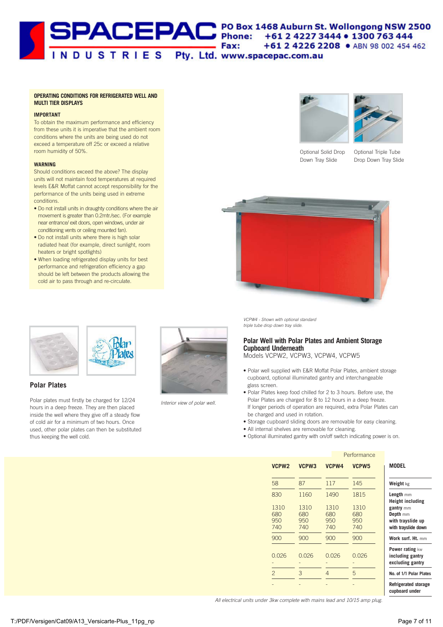## SPACEPAC PO Box 1468 Auburn St. Wollongong NSW 2500<br>
TNDUSTRIES Pty. Ltd. www.spacepac.com.au

#### **OPERATING CONDITIONS FOR REFRIGERATED WELL AND MULTI TIER DISPLAYS**

#### **IMPORTANT**

To obtain the maximum performance and efficiency from these units it is imperative that the ambient room conditions where the units are being used do not exceed a temperature off 25c or exceed a relative room humidity of 50%.

#### **WARNING**

Should conditions exceed the above? The display units will not maintain food temperatures at required levels E&R Moffat cannot accept responsibility for the performance of the units being used in extreme conditions.

- Do not install units in draughty conditions where the air movement is greater than 0.2mtr./sec. (For example near entrance/ exit doors, open windows, under air conditioning vents or ceiling mounted fan).
- Do not install units where there is high solar radiated heat (for example, direct sunlight, room heaters or bright spotlights)
- When loading refrigerated display units for best performance and refrigeration efficiency a gap should be left between the products allowing the cold air to pass through and re-circulate.





Optional Solid Drop Down Tray Slide

Optional Triple Tube Drop Down Tray Slide







#### **Polar Plates**

Polar plates must firstly be charged for 12/24 hours in a deep freeze. They are then placed inside the well where they give off a steady flow of cold air for a minimum of two hours. Once used, other polar plates can then be substituted thus keeping the well cold.



Interior view of polar well.

VCPW4 - Shown with optional standard triple tube drop down tray slide.

#### **Polar Well with Polar Plates and Ambient Storage Cupboard Underneath**  Models VCPW2, VCPW3, VCPW4, VCPW5

- Polar well supplied with E&R Moffat Polar Plates, ambient storage cupboard, optional illuminated gantry and interchangeable glass screen.
- Polar Plates keep food chilled for 2 to 3 hours. Before use, the Polar Plates are charged for 8 to 12 hours in a deep freeze. If longer periods of operation are required, extra Polar Plates can be charged and used in rotation.
- Storage cupboard sliding doors are removable for easy cleaning.
- All internal shelves are removable for cleaning.
- Optional illuminated gantry with on/off switch indicating power is on.

|                           |                           |                           | Performance               |                                                                                              |
|---------------------------|---------------------------|---------------------------|---------------------------|----------------------------------------------------------------------------------------------|
| VCPW <sub>2</sub>         | VCPW3                     | VCPW4                     | VCPW <sub>5</sub>         | <b>MODEL</b>                                                                                 |
| 58                        | 87                        | 117                       | 145                       | Weight kg                                                                                    |
| 830                       | 1160                      | 1490                      | 1815                      | Length mm                                                                                    |
| 1310<br>680<br>950<br>740 | 1310<br>680<br>950<br>740 | 1310<br>680<br>950<br>740 | 1310<br>680<br>950<br>740 | <b>Height including</b><br>gantry mm<br>Depth mm<br>with trayslide up<br>with trayslide down |
| 900                       | 900                       | 900                       | 900                       | Work surf. Ht. mm                                                                            |
| 0.026                     | 0.026                     | 0.026                     | 0.026                     | Power rating kw<br>including gantry<br>excluding gantry                                      |
| $\overline{2}$            | 3                         | 4                         | 5                         | No. of 1/1 Polar Plate                                                                       |
|                           |                           |                           |                           | <b>Refrigerated storage</b><br>cupboard under                                                |

All electrical units under 3kw complete with mains lead and 10/15 amp plug.

**No. of 1/1 Polar Plates**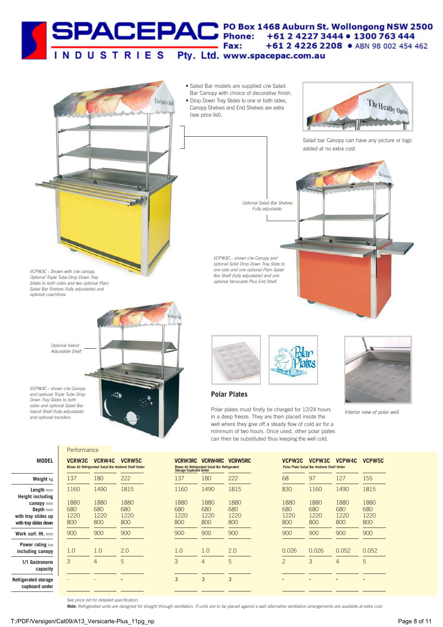# SPACEPAC<sup>PO Box 1468</sup> Auburn St. Wollongong NSW 2500<br>Fax: +61 2 4227 3444 • 1300 763 444<br>TNDUSTRIES Pty. Ltd. www.spacepac.com.au



**Depth** mm **with tray slides up with tray slides down Work surf. Ht.** mm **Power rating** kw **including canopy 1/1 Gastronorm capacity**

**Refrigerated storage cupboard under**

|                            |                            | BIOWN AIF Refrigerated Salad Bar Ambient Shelf Under |
|----------------------------|----------------------------|------------------------------------------------------|
| 137                        | 180                        | 222                                                  |
| 1160                       | 1490                       | 1815                                                 |
| 1880<br>680<br>1220<br>800 | 1880<br>680<br>1220<br>800 | 1880<br>680<br>1220<br>800                           |
| 900                        | 900                        | 900                                                  |
| 1.0                        | 1.0                        | 2.0                                                  |
| 3                          | 4                          | 5                                                    |
|                            |                            |                                                      |
|                            |                            |                                                      |

| <b>Storage Cupboard Under</b>     | <b>Blown Air Refrigerated Salad Bar Refrigerated</b> |                                   |
|-----------------------------------|------------------------------------------------------|-----------------------------------|
| 137                               | 180                                                  | 222                               |
| 1160                              | 1490                                                 | 1815                              |
| 1880<br>680<br>1220<br>800<br>900 | 1880<br>680<br>1220<br>800<br>900                    | 1880<br>680<br>1220<br>800<br>900 |
| 1.0<br>3                          | 1.0<br>4                                             | 2.0<br>5                          |
|                                   | ว                                                    | 3                                 |

| <b>VCPW2C</b>              | <b>Polar Plate Salad Bar Ambient Shelf Under</b> | VCPW3C VCPW4C              | VCPW5C                     |
|----------------------------|--------------------------------------------------|----------------------------|----------------------------|
| 68                         | 97                                               | 127                        | 155                        |
| 830                        | 1160                                             | 1490                       | 1815                       |
| 1880<br>680<br>1220<br>800 | 1880<br>680<br>1220<br>800                       | 1880<br>680<br>1220<br>800 | 1880<br>680<br>1220<br>800 |
| 900                        | 900                                              | 900                        | 900                        |
| 0.026                      | 0.026                                            | 0.052                      | 0.052                      |
| $\overline{2}$             | 3                                                | 4                          | 5                          |
|                            |                                                  |                            |                            |

**-**

**-**

**-**

**-**

See price list for detailed specification.

**Note:** Refrigerated units are designed for straight through ventilation. If units are to be placed against a wall alternative ventilation arrangements are available at extra cost.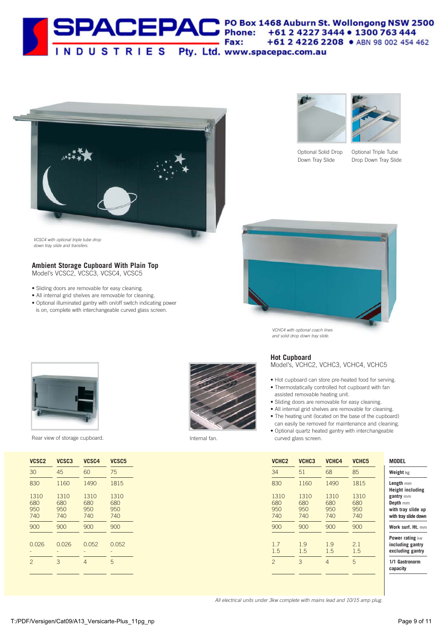



VCSC4 with optional triple tube drop down tray slide and transfers.

#### **Ambient Storage Cupboard With Plain Top**

Model's VCSC2, VCSC3, VCSC4, VCSC5

- Sliding doors are removable for easy cleaning.
- All internal grid shelves are removable for cleaning.
- Optional illuminated gantry with on/off switch indicating power is on, complete with interchangeable curved glass screen.





Optional Solid Drop Down Tray Slide

Optional Triple Tube Drop Down Tray Slide



VCHC4 with optional coach lines and solid drop down tray slide.



Rear view of storage cupboard. Internal fan.

| VCSC <sub>2</sub>         | VCSC3                     | VCSC4                     | VCSC <sub>5</sub>         |
|---------------------------|---------------------------|---------------------------|---------------------------|
| 30                        | 45                        | 60                        | 75                        |
| 830                       | 1160                      | 1490                      | 1815                      |
| 1310<br>680<br>950<br>740 | 1310<br>680<br>950<br>740 | 1310<br>680<br>950<br>740 | 1310<br>680<br>950<br>740 |
| 900                       | 900                       | 900                       | 900                       |
| 0.026                     | 0.026                     | 0.052                     | 0.052                     |
| $\overline{c}$            | 3                         | 4                         | 5                         |



#### **Hot Cupboard**

Model's, VCHC2, VCHC3, VCHC4, VCHC5

- Hot cupboard can store pre-heated food for serving. • Thermostatically controlled hot cupboard with fan
- assisted removable heating unit.
- Sliding doors are removable for easy cleaning.
- All internal grid shelves are removable for cleaning.
- The heating unit (located on the base of the cupboard) can easily be removed for maintenance and cleaning.
- Optional quartz heated gantry with interchangeable curved glass screen.

| VCHC <sub>2</sub>         | VCHC <sub>3</sub>         | VCHC4                     | VCHC <sub>5</sub>         | <b>MODEL</b>                                                        |
|---------------------------|---------------------------|---------------------------|---------------------------|---------------------------------------------------------------------|
| 34                        | 51                        | 68                        | 85                        | Weight kg                                                           |
| 830                       | 1160                      | 1490                      | 1815                      | Length mm<br><b>Height including</b>                                |
| 1310<br>680<br>950<br>740 | 1310<br>680<br>950<br>740 | 1310<br>680<br>950<br>740 | 1310<br>680<br>950<br>740 | gantry mm<br>Depth mm<br>with tray slide up<br>with tray slide down |
| 900                       | 900                       | 900                       | 900                       | Work surf. Ht. mm                                                   |
| 17<br>1.5                 | 1.9<br>1.5                | 1.9<br>1.5                | 21<br>1.5                 | Power rating kw<br>including gantry<br>excluding gantry             |
| $\mathcal{P}$             | 3                         | 4                         | 5                         | 1/1 Gastronorm<br>capacity                                          |
|                           |                           |                           |                           |                                                                     |

All electrical units under 3kw complete with mains lead and 10/15 amp plug.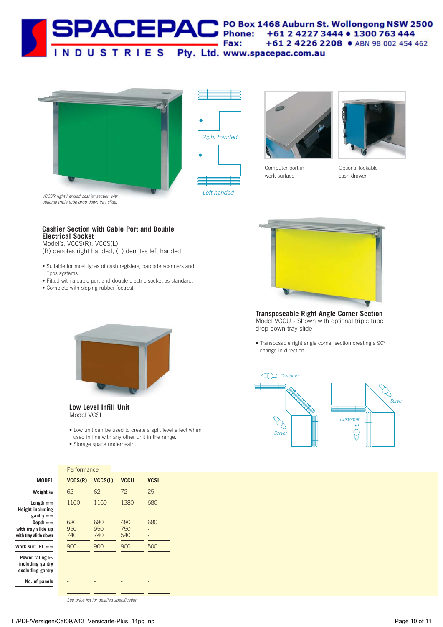







Computer port in work surface



Optional lockable cash drawer

**Cashier Section with Cable Port and Double Electrical Socket**

Model's, VCCS(R), VCCS(L)

(R) denotes right handed, (L) denotes left handed

- Suitable for most types of cash registers, barcode scanners and Epos systems.
- Fitted with a cable port and double electric socket as standard.
- Complete with sloping rubber footrest.





- Low unit can be used to create a split level effect when used in line with any other unit in the range.
- Storage space underneath.

**Performance** 



**Transposeable Right Angle Corner Section** Model VCCU - Shown with optional triple tube drop down tray slide

• Transposable right angle corner section creating a 90º change in direction.



| Weight kg                |
|--------------------------|
| Length mm                |
| <b>Height including</b>  |
| gantry mm<br>Depth mm    |
| with tray slide up       |
| with tray slide down     |
| <b>Work surf. Ht.</b> mm |
| Power rating kw          |

| <b>MODEL</b>                                            | VCCS(R)    | VCCS(L)    | <b>VCCU</b> | <b>VCSL</b> |
|---------------------------------------------------------|------------|------------|-------------|-------------|
| Weight kg                                               | 62         | 62         | 72          | 25          |
| Length mm<br><b>Height including</b>                    | 1160       | 1160       | 1380        | 680         |
| gantry mm<br>Depth mm                                   | 680        | 680        | 480         | 680         |
| with tray slide up<br>with tray slide down              | 950<br>740 | 950<br>740 | 750<br>540  |             |
| <b>Nork surf. Ht.</b> mm                                | 900        | 900        | 900         | 500         |
| Power rating kw<br>including gantry<br>excluding gantry |            |            |             |             |
| No. of panels                                           |            |            |             |             |
|                                                         |            |            |             |             |

See price list for detailed specification